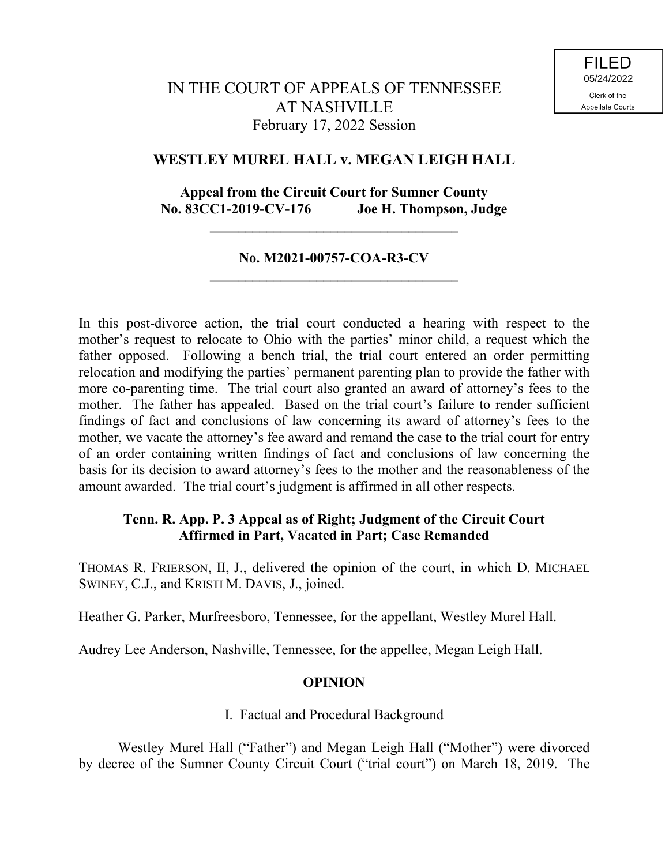# **WESTLEY MUREL HALL v. MEGAN LEIGH HALL**

# **Appeal from the Circuit Court for Sumner County No. 83CC1-2019-CV-176 Joe H. Thompson, Judge**

**\_\_\_\_\_\_\_\_\_\_\_\_\_\_\_\_\_\_\_\_\_\_\_\_\_\_\_\_\_\_\_\_\_\_\_**

## **No. M2021-00757-COA-R3-CV \_\_\_\_\_\_\_\_\_\_\_\_\_\_\_\_\_\_\_\_\_\_\_\_\_\_\_\_\_\_\_\_\_\_\_**

In this post-divorce action, the trial court conducted a hearing with respect to the mother's request to relocate to Ohio with the parties' minor child, a request which the father opposed. Following a bench trial, the trial court entered an order permitting relocation and modifying the parties' permanent parenting plan to provide the father with more co-parenting time. The trial court also granted an award of attorney's fees to the mother. The father has appealed. Based on the trial court's failure to render sufficient findings of fact and conclusions of law concerning its award of attorney's fees to the mother, we vacate the attorney's fee award and remand the case to the trial court for entry of an order containing written findings of fact and conclusions of law concerning the basis for its decision to award attorney's fees to the mother and the reasonableness of the amount awarded. The trial court's judgment is affirmed in all other respects.

# **Tenn. R. App. P. 3 Appeal as of Right; Judgment of the Circuit Court Affirmed in Part, Vacated in Part; Case Remanded**

THOMAS R. FRIERSON, II, J., delivered the opinion of the court, in which D. MICHAEL SWINEY, C.J., and KRISTI M. DAVIS, J., joined.

Heather G. Parker, Murfreesboro, Tennessee, for the appellant, Westley Murel Hall.

Audrey Lee Anderson, Nashville, Tennessee, for the appellee, Megan Leigh Hall.

#### **OPINION**

#### I. Factual and Procedural Background

Westley Murel Hall ("Father") and Megan Leigh Hall ("Mother") were divorced by decree of the Sumner County Circuit Court ("trial court") on March 18, 2019. The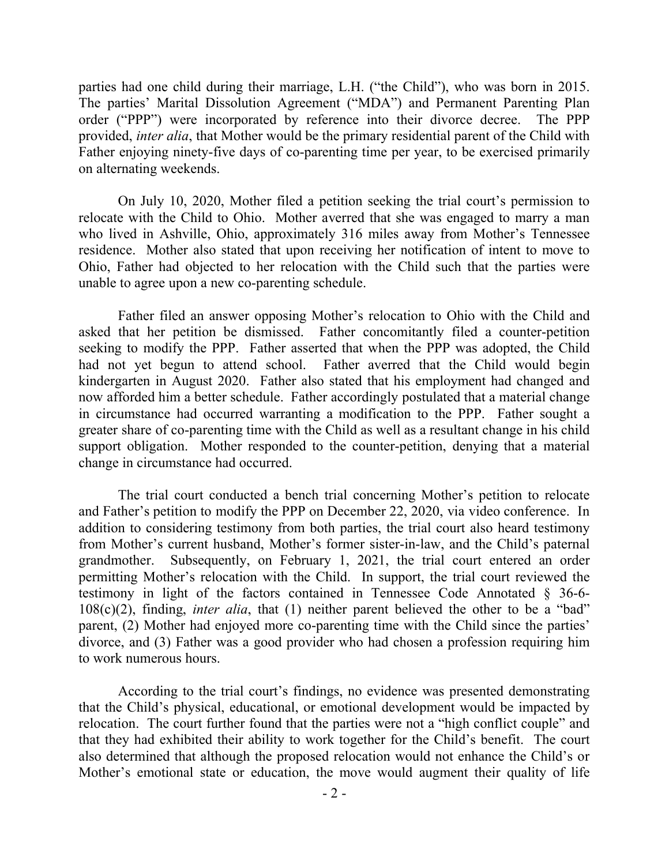parties had one child during their marriage, L.H. ("the Child"), who was born in 2015. The parties' Marital Dissolution Agreement ("MDA") and Permanent Parenting Plan order ("PPP") were incorporated by reference into their divorce decree. The PPP provided, *inter alia*, that Mother would be the primary residential parent of the Child with Father enjoying ninety-five days of co-parenting time per year, to be exercised primarily on alternating weekends.

On July 10, 2020, Mother filed a petition seeking the trial court's permission to relocate with the Child to Ohio. Mother averred that she was engaged to marry a man who lived in Ashville, Ohio, approximately 316 miles away from Mother's Tennessee residence. Mother also stated that upon receiving her notification of intent to move to Ohio, Father had objected to her relocation with the Child such that the parties were unable to agree upon a new co-parenting schedule.

Father filed an answer opposing Mother's relocation to Ohio with the Child and asked that her petition be dismissed. Father concomitantly filed a counter-petition seeking to modify the PPP. Father asserted that when the PPP was adopted, the Child had not yet begun to attend school. Father averred that the Child would begin kindergarten in August 2020. Father also stated that his employment had changed and now afforded him a better schedule. Father accordingly postulated that a material change in circumstance had occurred warranting a modification to the PPP. Father sought a greater share of co-parenting time with the Child as well as a resultant change in his child support obligation. Mother responded to the counter-petition, denying that a material change in circumstance had occurred.

The trial court conducted a bench trial concerning Mother's petition to relocate and Father's petition to modify the PPP on December 22, 2020, via video conference. In addition to considering testimony from both parties, the trial court also heard testimony from Mother's current husband, Mother's former sister-in-law, and the Child's paternal grandmother. Subsequently, on February 1, 2021, the trial court entered an order permitting Mother's relocation with the Child. In support, the trial court reviewed the testimony in light of the factors contained in Tennessee Code Annotated § 36-6- 108(c)(2), finding, *inter alia*, that (1) neither parent believed the other to be a "bad" parent, (2) Mother had enjoyed more co-parenting time with the Child since the parties' divorce, and (3) Father was a good provider who had chosen a profession requiring him to work numerous hours.

According to the trial court's findings, no evidence was presented demonstrating that the Child's physical, educational, or emotional development would be impacted by relocation. The court further found that the parties were not a "high conflict couple" and that they had exhibited their ability to work together for the Child's benefit. The court also determined that although the proposed relocation would not enhance the Child's or Mother's emotional state or education, the move would augment their quality of life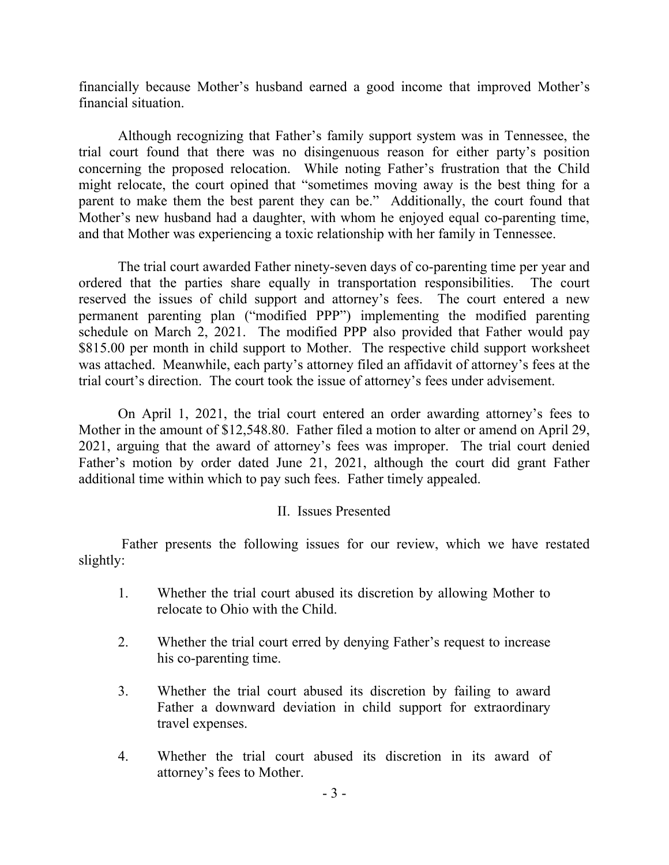financially because Mother's husband earned a good income that improved Mother's financial situation.

Although recognizing that Father's family support system was in Tennessee, the trial court found that there was no disingenuous reason for either party's position concerning the proposed relocation. While noting Father's frustration that the Child might relocate, the court opined that "sometimes moving away is the best thing for a parent to make them the best parent they can be." Additionally, the court found that Mother's new husband had a daughter, with whom he enjoyed equal co-parenting time, and that Mother was experiencing a toxic relationship with her family in Tennessee.

The trial court awarded Father ninety-seven days of co-parenting time per year and ordered that the parties share equally in transportation responsibilities. The court reserved the issues of child support and attorney's fees. The court entered a new permanent parenting plan ("modified PPP") implementing the modified parenting schedule on March 2, 2021. The modified PPP also provided that Father would pay \$815.00 per month in child support to Mother. The respective child support worksheet was attached. Meanwhile, each party's attorney filed an affidavit of attorney's fees at the trial court's direction. The court took the issue of attorney's fees under advisement.

On April 1, 2021, the trial court entered an order awarding attorney's fees to Mother in the amount of \$12,548.80. Father filed a motion to alter or amend on April 29, 2021, arguing that the award of attorney's fees was improper. The trial court denied Father's motion by order dated June 21, 2021, although the court did grant Father additional time within which to pay such fees. Father timely appealed.

### II. Issues Presented

Father presents the following issues for our review, which we have restated slightly:

- 1. Whether the trial court abused its discretion by allowing Mother to relocate to Ohio with the Child.
- 2. Whether the trial court erred by denying Father's request to increase his co-parenting time.
- 3. Whether the trial court abused its discretion by failing to award Father a downward deviation in child support for extraordinary travel expenses.
- 4. Whether the trial court abused its discretion in its award of attorney's fees to Mother.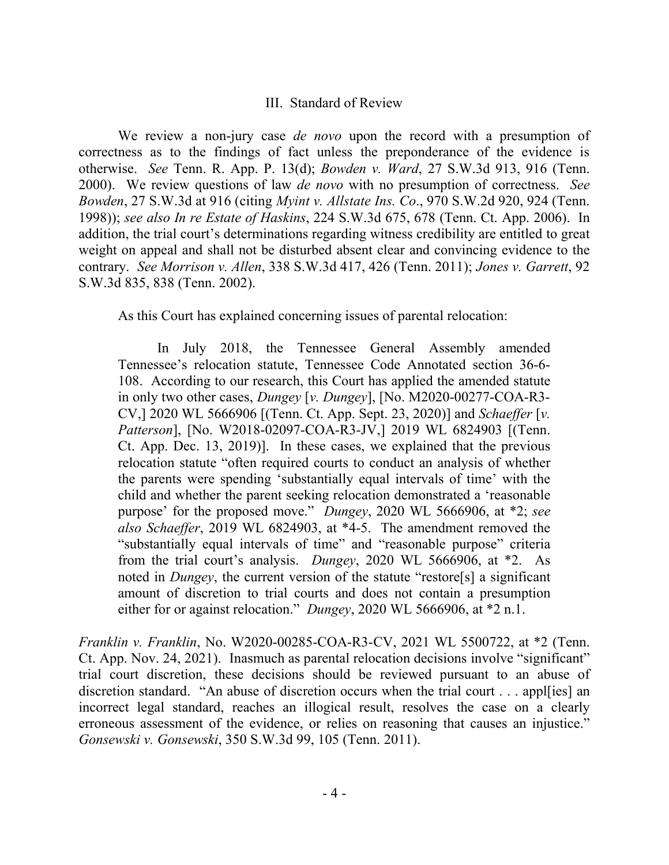#### III. Standard of Review

We review a non-jury case *de novo* upon the record with a presumption of correctness as to the findings of fact unless the preponderance of the evidence is otherwise. *See* Tenn. R. App. P. 13(d); *Bowden v. Ward*, 27 S.W.3d 913, 916 (Tenn. 2000). We review questions of law *de novo* with no presumption of correctness. *See Bowden*, 27 S.W.3d at 916 (citing *Myint v. Allstate Ins. Co*., 970 S.W.2d 920, 924 (Tenn. 1998)); *see also In re Estate of Haskins*, 224 S.W.3d 675, 678 (Tenn. Ct. App. 2006). In addition, the trial court's determinations regarding witness credibility are entitled to great weight on appeal and shall not be disturbed absent clear and convincing evidence to the contrary. *See Morrison v. Allen*, 338 S.W.3d 417, 426 (Tenn. 2011); *Jones v. Garrett*, 92 S.W.3d 835, 838 (Tenn. 2002).

As this Court has explained concerning issues of parental relocation:

In July 2018, the Tennessee General Assembly amended Tennessee's relocation statute, Tennessee Code Annotated section 36-6- 108. According to our research, this Court has applied the amended statute in only two other cases, *Dungey* [*v. Dungey*], [No. M2020-00277-COA-R3- CV,] 2020 WL 5666906 [(Tenn. Ct. App. Sept. 23, 2020)] and *Schaeffer* [*v. Patterson*], [No. W2018-02097-COA-R3-JV,] 2019 WL 6824903 [(Tenn. Ct. App. Dec. 13, 2019)]. In these cases, we explained that the previous relocation statute "often required courts to conduct an analysis of whether the parents were spending 'substantially equal intervals of time' with the child and whether the parent seeking relocation demonstrated a 'reasonable purpose' for the proposed move." *Dungey*, 2020 WL 5666906, at \*2; *see also Schaeffer*, 2019 WL 6824903, at \*4-5. The amendment removed the "substantially equal intervals of time" and "reasonable purpose" criteria from the trial court's analysis. *Dungey*, 2020 WL 5666906, at \*2. As noted in *Dungey*, the current version of the statute "restore[s] a significant amount of discretion to trial courts and does not contain a presumption either for or against relocation." *Dungey*, 2020 WL 5666906, at \*2 n.1.

*Franklin v. Franklin*, No. W2020-00285-COA-R3-CV, 2021 WL 5500722, at \*2 (Tenn. Ct. App. Nov. 24, 2021). Inasmuch as parental relocation decisions involve "significant" trial court discretion, these decisions should be reviewed pursuant to an abuse of discretion standard. "An abuse of discretion occurs when the trial court . . . appl[ies] an incorrect legal standard, reaches an illogical result, resolves the case on a clearly erroneous assessment of the evidence, or relies on reasoning that causes an injustice." *Gonsewski v. Gonsewski*, 350 S.W.3d 99, 105 (Tenn. 2011).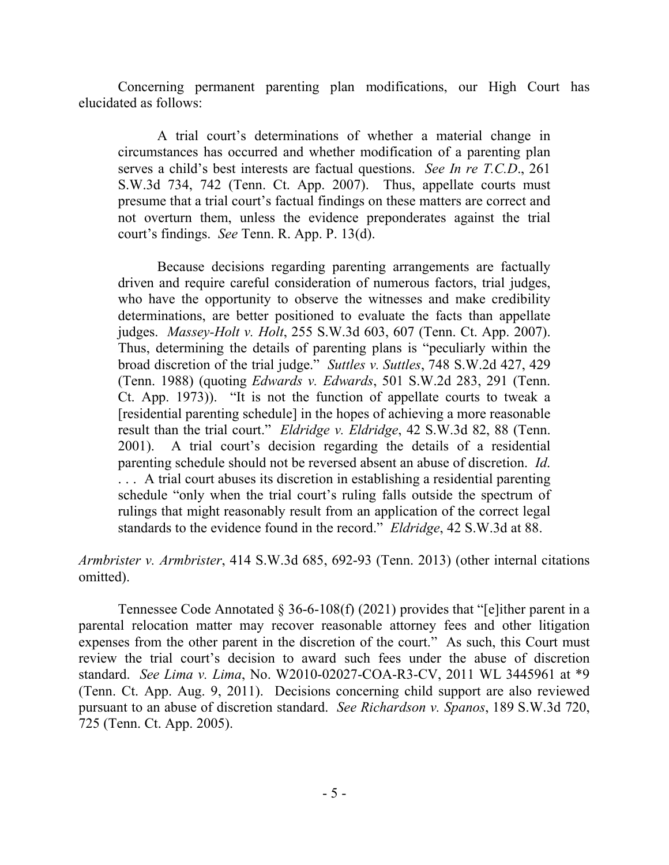Concerning permanent parenting plan modifications, our High Court has elucidated as follows:

A trial court's determinations of whether a material change in circumstances has occurred and whether modification of a parenting plan serves a child's best interests are factual questions. *See In re T.C.D*., 261 S.W.3d 734, 742 (Tenn. Ct. App. 2007). Thus, appellate courts must presume that a trial court's factual findings on these matters are correct and not overturn them, unless the evidence preponderates against the trial court's findings. *See* Tenn. R. App. P. 13(d).

Because decisions regarding parenting arrangements are factually driven and require careful consideration of numerous factors, trial judges, who have the opportunity to observe the witnesses and make credibility determinations, are better positioned to evaluate the facts than appellate judges. *Massey-Holt v. Holt*, 255 S.W.3d 603, 607 (Tenn. Ct. App. 2007). Thus, determining the details of parenting plans is "peculiarly within the broad discretion of the trial judge." *Suttles v. Suttles*, 748 S.W.2d 427, 429 (Tenn. 1988) (quoting *Edwards v. Edwards*, 501 S.W.2d 283, 291 (Tenn. Ct. App. 1973)). "It is not the function of appellate courts to tweak a [residential parenting schedule] in the hopes of achieving a more reasonable result than the trial court." *Eldridge v. Eldridge*, 42 S.W.3d 82, 88 (Tenn. 2001). A trial court's decision regarding the details of a residential parenting schedule should not be reversed absent an abuse of discretion. *Id*. . . . A trial court abuses its discretion in establishing a residential parenting schedule "only when the trial court's ruling falls outside the spectrum of rulings that might reasonably result from an application of the correct legal standards to the evidence found in the record." *Eldridge*, 42 S.W.3d at 88.

*Armbrister v. Armbrister*, 414 S.W.3d 685, 692-93 (Tenn. 2013) (other internal citations omitted).

Tennessee Code Annotated § 36-6-108(f) (2021) provides that "[e]ither parent in a parental relocation matter may recover reasonable attorney fees and other litigation expenses from the other parent in the discretion of the court." As such, this Court must review the trial court's decision to award such fees under the abuse of discretion standard. *See Lima v. Lima*, No. W2010-02027-COA-R3-CV, 2011 WL 3445961 at \*9 (Tenn. Ct. App. Aug. 9, 2011). Decisions concerning child support are also reviewed pursuant to an abuse of discretion standard. *See Richardson v. Spanos*, 189 S.W.3d 720, 725 (Tenn. Ct. App. 2005).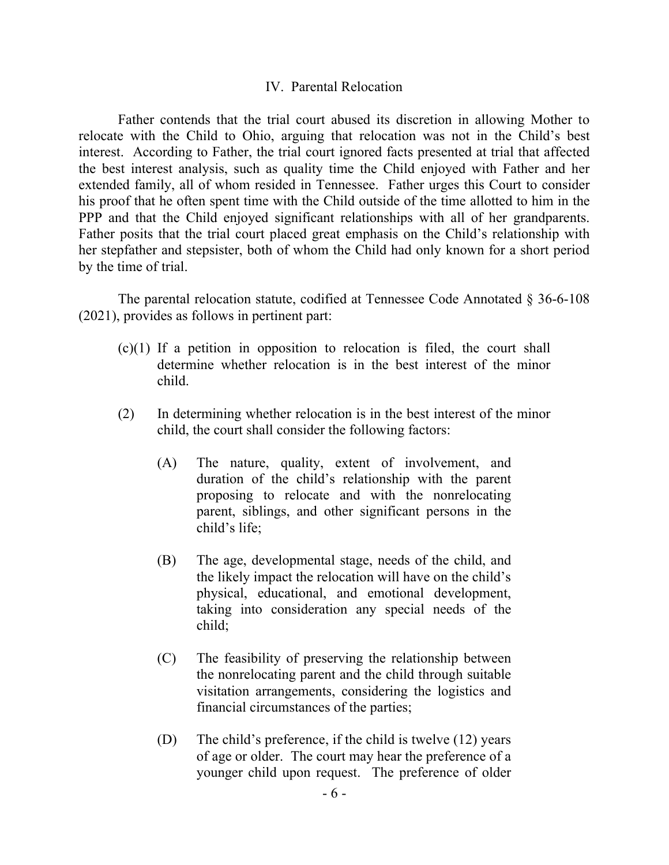#### IV. Parental Relocation

Father contends that the trial court abused its discretion in allowing Mother to relocate with the Child to Ohio, arguing that relocation was not in the Child's best interest. According to Father, the trial court ignored facts presented at trial that affected the best interest analysis, such as quality time the Child enjoyed with Father and her extended family, all of whom resided in Tennessee. Father urges this Court to consider his proof that he often spent time with the Child outside of the time allotted to him in the PPP and that the Child enjoyed significant relationships with all of her grandparents. Father posits that the trial court placed great emphasis on the Child's relationship with her stepfather and stepsister, both of whom the Child had only known for a short period by the time of trial.

The parental relocation statute, codified at Tennessee Code Annotated § 36-6-108 (2021), provides as follows in pertinent part:

- (c)(1) If a petition in opposition to relocation is filed, the court shall determine whether relocation is in the best interest of the minor child.
- (2) In determining whether relocation is in the best interest of the minor child, the court shall consider the following factors:
	- (A) The nature, quality, extent of involvement, and duration of the child's relationship with the parent proposing to relocate and with the nonrelocating parent, siblings, and other significant persons in the child's life;
	- (B) The age, developmental stage, needs of the child, and the likely impact the relocation will have on the child's physical, educational, and emotional development, taking into consideration any special needs of the child;
	- (C) The feasibility of preserving the relationship between the nonrelocating parent and the child through suitable visitation arrangements, considering the logistics and financial circumstances of the parties;
	- (D) The child's preference, if the child is twelve (12) years of age or older. The court may hear the preference of a younger child upon request. The preference of older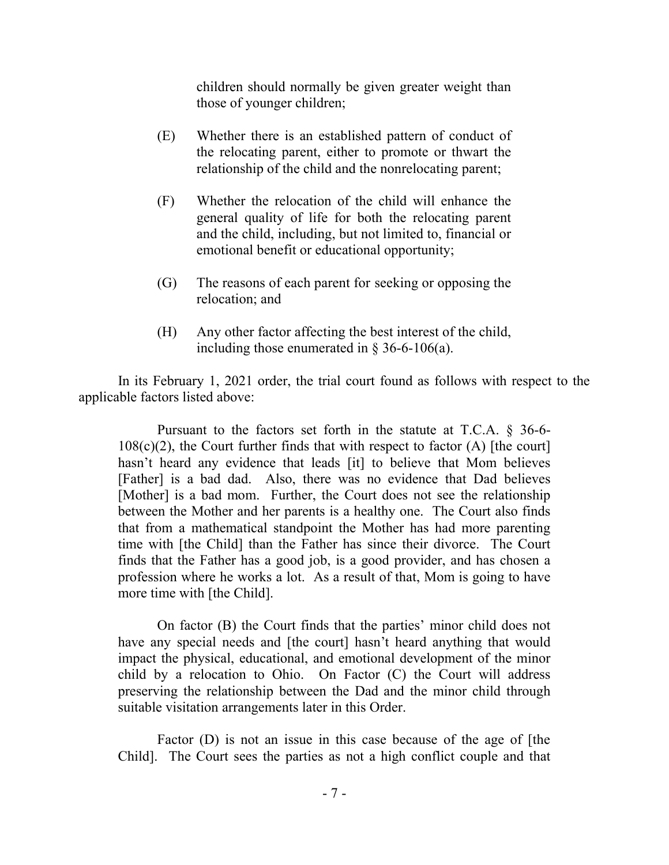children should normally be given greater weight than those of younger children;

- (E) Whether there is an established pattern of conduct of the relocating parent, either to promote or thwart the relationship of the child and the nonrelocating parent;
- (F) Whether the relocation of the child will enhance the general quality of life for both the relocating parent and the child, including, but not limited to, financial or emotional benefit or educational opportunity;
- (G) The reasons of each parent for seeking or opposing the relocation; and
- (H) Any other factor affecting the best interest of the child, including those enumerated in  $\S$  36-6-106(a).

In its February 1, 2021 order, the trial court found as follows with respect to the applicable factors listed above:

Pursuant to the factors set forth in the statute at T.C.A. § 36-6-  $108(c)(2)$ , the Court further finds that with respect to factor (A) [the court] hasn't heard any evidence that leads [it] to believe that Mom believes [Father] is a bad dad. Also, there was no evidence that Dad believes [Mother] is a bad mom. Further, the Court does not see the relationship between the Mother and her parents is a healthy one. The Court also finds that from a mathematical standpoint the Mother has had more parenting time with [the Child] than the Father has since their divorce. The Court finds that the Father has a good job, is a good provider, and has chosen a profession where he works a lot. As a result of that, Mom is going to have more time with [the Child].

On factor (B) the Court finds that the parties' minor child does not have any special needs and [the court] hasn't heard anything that would impact the physical, educational, and emotional development of the minor child by a relocation to Ohio. On Factor (C) the Court will address preserving the relationship between the Dad and the minor child through suitable visitation arrangements later in this Order.

Factor (D) is not an issue in this case because of the age of [the Child]. The Court sees the parties as not a high conflict couple and that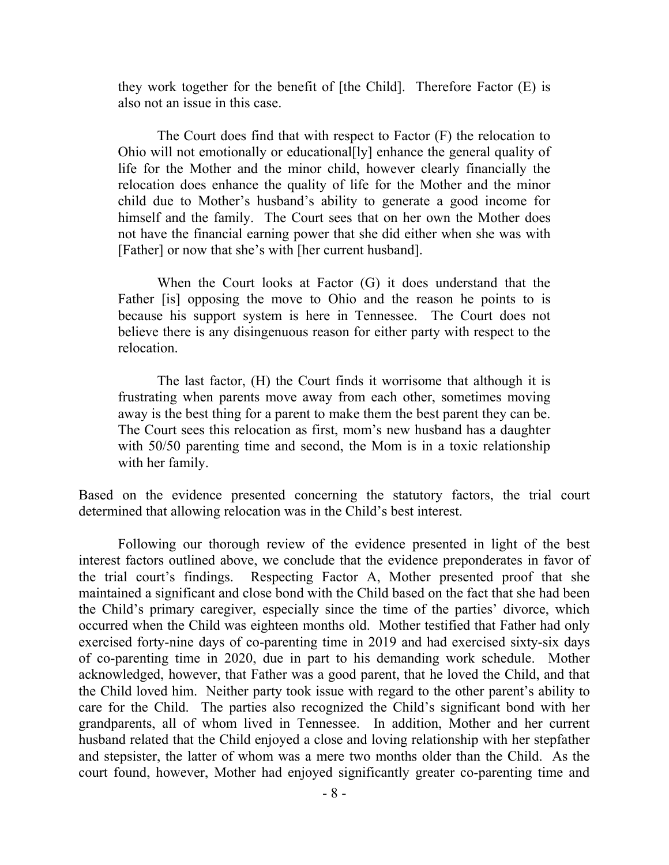they work together for the benefit of [the Child]. Therefore Factor (E) is also not an issue in this case.

The Court does find that with respect to Factor (F) the relocation to Ohio will not emotionally or educational[ly] enhance the general quality of life for the Mother and the minor child, however clearly financially the relocation does enhance the quality of life for the Mother and the minor child due to Mother's husband's ability to generate a good income for himself and the family. The Court sees that on her own the Mother does not have the financial earning power that she did either when she was with [Father] or now that she's with [her current husband].

When the Court looks at Factor (G) it does understand that the Father [is] opposing the move to Ohio and the reason he points to is because his support system is here in Tennessee. The Court does not believe there is any disingenuous reason for either party with respect to the relocation.

The last factor, (H) the Court finds it worrisome that although it is frustrating when parents move away from each other, sometimes moving away is the best thing for a parent to make them the best parent they can be. The Court sees this relocation as first, mom's new husband has a daughter with 50/50 parenting time and second, the Mom is in a toxic relationship with her family.

Based on the evidence presented concerning the statutory factors, the trial court determined that allowing relocation was in the Child's best interest.

Following our thorough review of the evidence presented in light of the best interest factors outlined above, we conclude that the evidence preponderates in favor of the trial court's findings. Respecting Factor A, Mother presented proof that she maintained a significant and close bond with the Child based on the fact that she had been the Child's primary caregiver, especially since the time of the parties' divorce, which occurred when the Child was eighteen months old. Mother testified that Father had only exercised forty-nine days of co-parenting time in 2019 and had exercised sixty-six days of co-parenting time in 2020, due in part to his demanding work schedule. Mother acknowledged, however, that Father was a good parent, that he loved the Child, and that the Child loved him. Neither party took issue with regard to the other parent's ability to care for the Child. The parties also recognized the Child's significant bond with her grandparents, all of whom lived in Tennessee. In addition, Mother and her current husband related that the Child enjoyed a close and loving relationship with her stepfather and stepsister, the latter of whom was a mere two months older than the Child. As the court found, however, Mother had enjoyed significantly greater co-parenting time and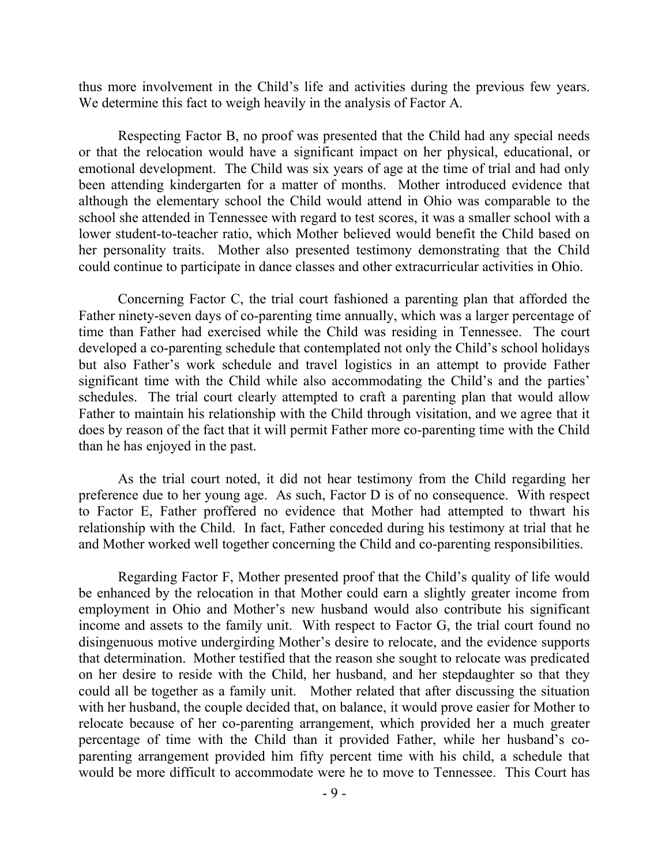thus more involvement in the Child's life and activities during the previous few years. We determine this fact to weigh heavily in the analysis of Factor A.

Respecting Factor B, no proof was presented that the Child had any special needs or that the relocation would have a significant impact on her physical, educational, or emotional development. The Child was six years of age at the time of trial and had only been attending kindergarten for a matter of months. Mother introduced evidence that although the elementary school the Child would attend in Ohio was comparable to the school she attended in Tennessee with regard to test scores, it was a smaller school with a lower student-to-teacher ratio, which Mother believed would benefit the Child based on her personality traits. Mother also presented testimony demonstrating that the Child could continue to participate in dance classes and other extracurricular activities in Ohio.

Concerning Factor C, the trial court fashioned a parenting plan that afforded the Father ninety-seven days of co-parenting time annually, which was a larger percentage of time than Father had exercised while the Child was residing in Tennessee. The court developed a co-parenting schedule that contemplated not only the Child's school holidays but also Father's work schedule and travel logistics in an attempt to provide Father significant time with the Child while also accommodating the Child's and the parties' schedules. The trial court clearly attempted to craft a parenting plan that would allow Father to maintain his relationship with the Child through visitation, and we agree that it does by reason of the fact that it will permit Father more co-parenting time with the Child than he has enjoyed in the past.

As the trial court noted, it did not hear testimony from the Child regarding her preference due to her young age. As such, Factor D is of no consequence. With respect to Factor E, Father proffered no evidence that Mother had attempted to thwart his relationship with the Child. In fact, Father conceded during his testimony at trial that he and Mother worked well together concerning the Child and co-parenting responsibilities.

Regarding Factor F, Mother presented proof that the Child's quality of life would be enhanced by the relocation in that Mother could earn a slightly greater income from employment in Ohio and Mother's new husband would also contribute his significant income and assets to the family unit. With respect to Factor G, the trial court found no disingenuous motive undergirding Mother's desire to relocate, and the evidence supports that determination. Mother testified that the reason she sought to relocate was predicated on her desire to reside with the Child, her husband, and her stepdaughter so that they could all be together as a family unit. Mother related that after discussing the situation with her husband, the couple decided that, on balance, it would prove easier for Mother to relocate because of her co-parenting arrangement, which provided her a much greater percentage of time with the Child than it provided Father, while her husband's coparenting arrangement provided him fifty percent time with his child, a schedule that would be more difficult to accommodate were he to move to Tennessee. This Court has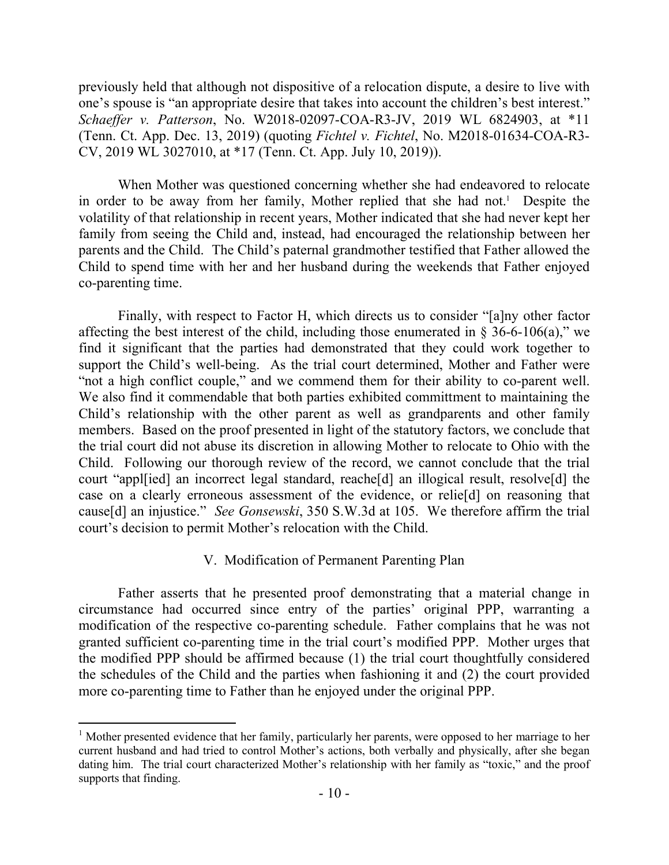previously held that although not dispositive of a relocation dispute, a desire to live with one's spouse is "an appropriate desire that takes into account the children's best interest." *Schaeffer v. Patterson*, No. W2018-02097-COA-R3-JV, 2019 WL 6824903, at \*11 (Tenn. Ct. App. Dec. 13, 2019) (quoting *Fichtel v. Fichtel*, No. M2018-01634-COA-R3- CV, 2019 WL 3027010, at \*17 (Tenn. Ct. App. July 10, 2019)).

When Mother was questioned concerning whether she had endeavored to relocate in order to be away from her family, Mother replied that she had not.<sup>1</sup> Despite the volatility of that relationship in recent years, Mother indicated that she had never kept her family from seeing the Child and, instead, had encouraged the relationship between her parents and the Child. The Child's paternal grandmother testified that Father allowed the Child to spend time with her and her husband during the weekends that Father enjoyed co-parenting time.

Finally, with respect to Factor H, which directs us to consider "[a]ny other factor affecting the best interest of the child, including those enumerated in  $\S$  36-6-106(a)," we find it significant that the parties had demonstrated that they could work together to support the Child's well-being. As the trial court determined, Mother and Father were "not a high conflict couple," and we commend them for their ability to co-parent well. We also find it commendable that both parties exhibited committment to maintaining the Child's relationship with the other parent as well as grandparents and other family members. Based on the proof presented in light of the statutory factors, we conclude that the trial court did not abuse its discretion in allowing Mother to relocate to Ohio with the Child. Following our thorough review of the record, we cannot conclude that the trial court "appl[ied] an incorrect legal standard, reache[d] an illogical result, resolve[d] the case on a clearly erroneous assessment of the evidence, or relie[d] on reasoning that cause[d] an injustice." *See Gonsewski*, 350 S.W.3d at 105. We therefore affirm the trial court's decision to permit Mother's relocation with the Child.

### V. Modification of Permanent Parenting Plan

Father asserts that he presented proof demonstrating that a material change in circumstance had occurred since entry of the parties' original PPP, warranting a modification of the respective co-parenting schedule. Father complains that he was not granted sufficient co-parenting time in the trial court's modified PPP. Mother urges that the modified PPP should be affirmed because (1) the trial court thoughtfully considered the schedules of the Child and the parties when fashioning it and (2) the court provided more co-parenting time to Father than he enjoyed under the original PPP.

 $1$  Mother presented evidence that her family, particularly her parents, were opposed to her marriage to her current husband and had tried to control Mother's actions, both verbally and physically, after she began dating him. The trial court characterized Mother's relationship with her family as "toxic," and the proof supports that finding.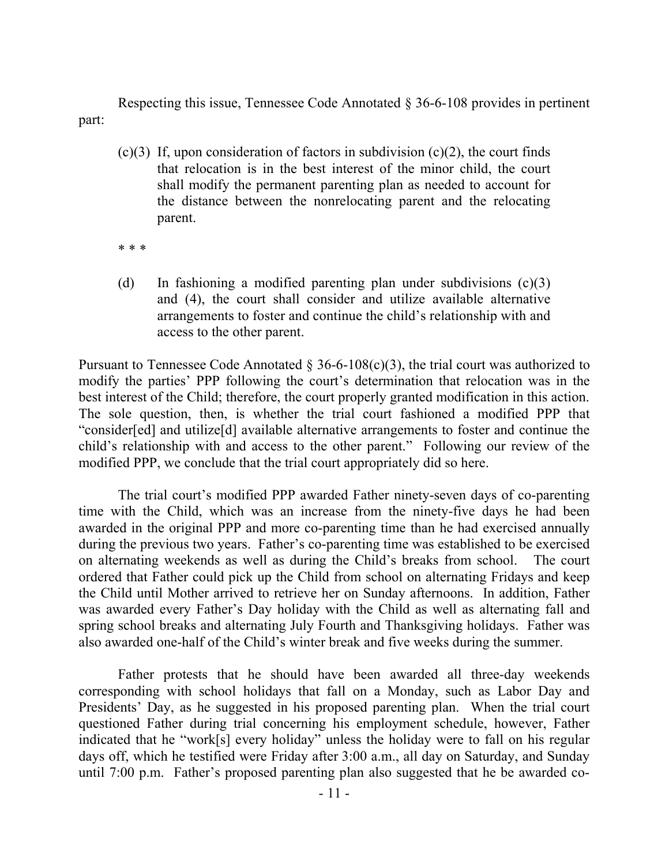Respecting this issue, Tennessee Code Annotated § 36-6-108 provides in pertinent part:

- $(c)(3)$  If, upon consideration of factors in subdivision  $(c)(2)$ , the court finds that relocation is in the best interest of the minor child, the court shall modify the permanent parenting plan as needed to account for the distance between the nonrelocating parent and the relocating parent.
- \* \* \*
- (d) In fashioning a modified parenting plan under subdivisions (c)(3) and (4), the court shall consider and utilize available alternative arrangements to foster and continue the child's relationship with and access to the other parent.

Pursuant to Tennessee Code Annotated  $\S 36-6-108(c)(3)$ , the trial court was authorized to modify the parties' PPP following the court's determination that relocation was in the best interest of the Child; therefore, the court properly granted modification in this action. The sole question, then, is whether the trial court fashioned a modified PPP that "consider[ed] and utilize[d] available alternative arrangements to foster and continue the child's relationship with and access to the other parent." Following our review of the modified PPP, we conclude that the trial court appropriately did so here.

The trial court's modified PPP awarded Father ninety-seven days of co-parenting time with the Child, which was an increase from the ninety-five days he had been awarded in the original PPP and more co-parenting time than he had exercised annually during the previous two years. Father's co-parenting time was established to be exercised on alternating weekends as well as during the Child's breaks from school. The court ordered that Father could pick up the Child from school on alternating Fridays and keep the Child until Mother arrived to retrieve her on Sunday afternoons. In addition, Father was awarded every Father's Day holiday with the Child as well as alternating fall and spring school breaks and alternating July Fourth and Thanksgiving holidays. Father was also awarded one-half of the Child's winter break and five weeks during the summer.

Father protests that he should have been awarded all three-day weekends corresponding with school holidays that fall on a Monday, such as Labor Day and Presidents' Day, as he suggested in his proposed parenting plan. When the trial court questioned Father during trial concerning his employment schedule, however, Father indicated that he "work[s] every holiday" unless the holiday were to fall on his regular days off, which he testified were Friday after 3:00 a.m., all day on Saturday, and Sunday until 7:00 p.m. Father's proposed parenting plan also suggested that he be awarded co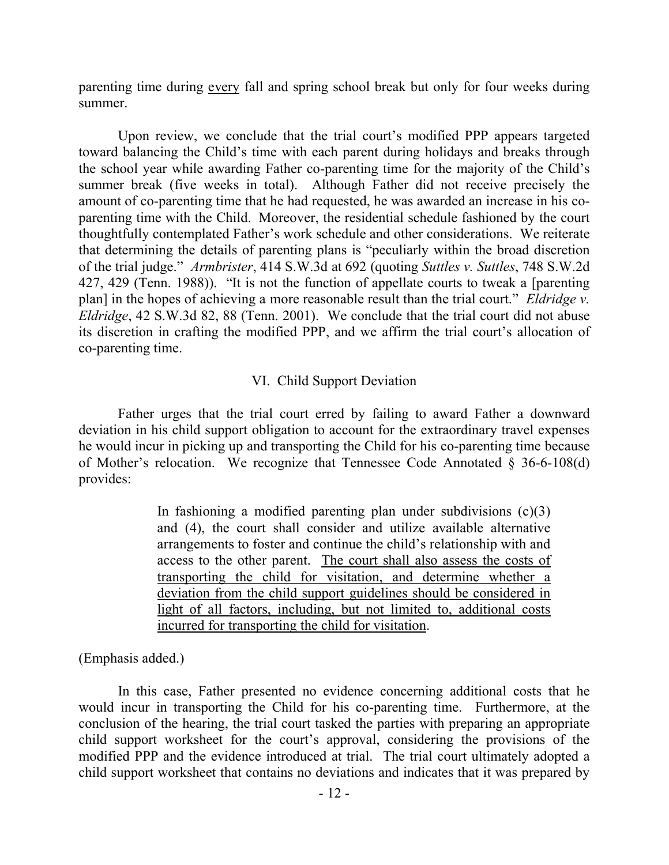parenting time during every fall and spring school break but only for four weeks during summer.

Upon review, we conclude that the trial court's modified PPP appears targeted toward balancing the Child's time with each parent during holidays and breaks through the school year while awarding Father co-parenting time for the majority of the Child's summer break (five weeks in total). Although Father did not receive precisely the amount of co-parenting time that he had requested, he was awarded an increase in his coparenting time with the Child. Moreover, the residential schedule fashioned by the court thoughtfully contemplated Father's work schedule and other considerations. We reiterate that determining the details of parenting plans is "peculiarly within the broad discretion of the trial judge." *Armbrister*, 414 S.W.3d at 692 (quoting *Suttles v. Suttles*, 748 S.W.2d 427, 429 (Tenn. 1988)). "It is not the function of appellate courts to tweak a [parenting plan] in the hopes of achieving a more reasonable result than the trial court." *Eldridge v. Eldridge*, 42 S.W.3d 82, 88 (Tenn. 2001). We conclude that the trial court did not abuse its discretion in crafting the modified PPP, and we affirm the trial court's allocation of co-parenting time.

#### VI. Child Support Deviation

Father urges that the trial court erred by failing to award Father a downward deviation in his child support obligation to account for the extraordinary travel expenses he would incur in picking up and transporting the Child for his co-parenting time because of Mother's relocation. We recognize that Tennessee Code Annotated  $\S$  36-6-108(d) provides:

> In fashioning a modified parenting plan under subdivisions  $(c)(3)$ and (4), the court shall consider and utilize available alternative arrangements to foster and continue the child's relationship with and access to the other parent. The court shall also assess the costs of transporting the child for visitation, and determine whether a deviation from the child support guidelines should be considered in light of all factors, including, but not limited to, additional costs incurred for transporting the child for visitation.

(Emphasis added.)

In this case, Father presented no evidence concerning additional costs that he would incur in transporting the Child for his co-parenting time. Furthermore, at the conclusion of the hearing, the trial court tasked the parties with preparing an appropriate child support worksheet for the court's approval, considering the provisions of the modified PPP and the evidence introduced at trial. The trial court ultimately adopted a child support worksheet that contains no deviations and indicates that it was prepared by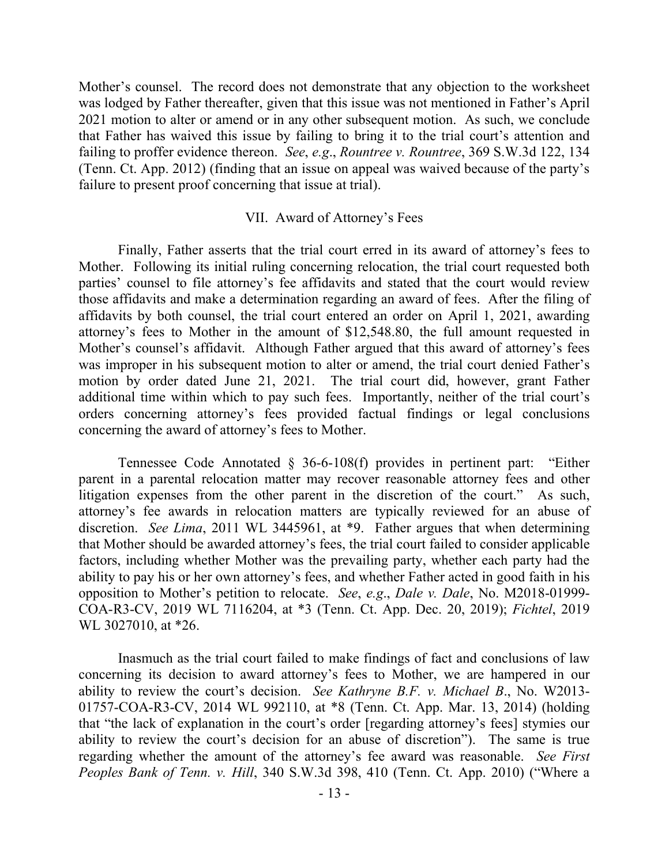Mother's counsel. The record does not demonstrate that any objection to the worksheet was lodged by Father thereafter, given that this issue was not mentioned in Father's April 2021 motion to alter or amend or in any other subsequent motion. As such, we conclude that Father has waived this issue by failing to bring it to the trial court's attention and failing to proffer evidence thereon. *See*, *e.g*., *Rountree v. Rountree*, 369 S.W.3d 122, 134 (Tenn. Ct. App. 2012) (finding that an issue on appeal was waived because of the party's failure to present proof concerning that issue at trial).

#### VII. Award of Attorney's Fees

Finally, Father asserts that the trial court erred in its award of attorney's fees to Mother. Following its initial ruling concerning relocation, the trial court requested both parties' counsel to file attorney's fee affidavits and stated that the court would review those affidavits and make a determination regarding an award of fees. After the filing of affidavits by both counsel, the trial court entered an order on April 1, 2021, awarding attorney's fees to Mother in the amount of \$12,548.80, the full amount requested in Mother's counsel's affidavit. Although Father argued that this award of attorney's fees was improper in his subsequent motion to alter or amend, the trial court denied Father's motion by order dated June 21, 2021. The trial court did, however, grant Father additional time within which to pay such fees. Importantly, neither of the trial court's orders concerning attorney's fees provided factual findings or legal conclusions concerning the award of attorney's fees to Mother.

Tennessee Code Annotated § 36-6-108(f) provides in pertinent part: "Either parent in a parental relocation matter may recover reasonable attorney fees and other litigation expenses from the other parent in the discretion of the court." As such, attorney's fee awards in relocation matters are typically reviewed for an abuse of discretion. *See Lima*, 2011 WL 3445961, at \*9. Father argues that when determining that Mother should be awarded attorney's fees, the trial court failed to consider applicable factors, including whether Mother was the prevailing party, whether each party had the ability to pay his or her own attorney's fees, and whether Father acted in good faith in his opposition to Mother's petition to relocate. *See*, *e.g*., *Dale v. Dale*, No. M2018-01999- COA-R3-CV, 2019 WL 7116204, at \*3 (Tenn. Ct. App. Dec. 20, 2019); *Fichtel*, 2019 WL 3027010, at \*26.

Inasmuch as the trial court failed to make findings of fact and conclusions of law concerning its decision to award attorney's fees to Mother, we are hampered in our ability to review the court's decision. *See Kathryne B.F. v. Michael B*., No. W2013- 01757-COA-R3-CV, 2014 WL 992110, at \*8 (Tenn. Ct. App. Mar. 13, 2014) (holding that "the lack of explanation in the court's order [regarding attorney's fees] stymies our ability to review the court's decision for an abuse of discretion"). The same is true regarding whether the amount of the attorney's fee award was reasonable. *See First Peoples Bank of Tenn. v. Hill*, 340 S.W.3d 398, 410 (Tenn. Ct. App. 2010) ("Where a